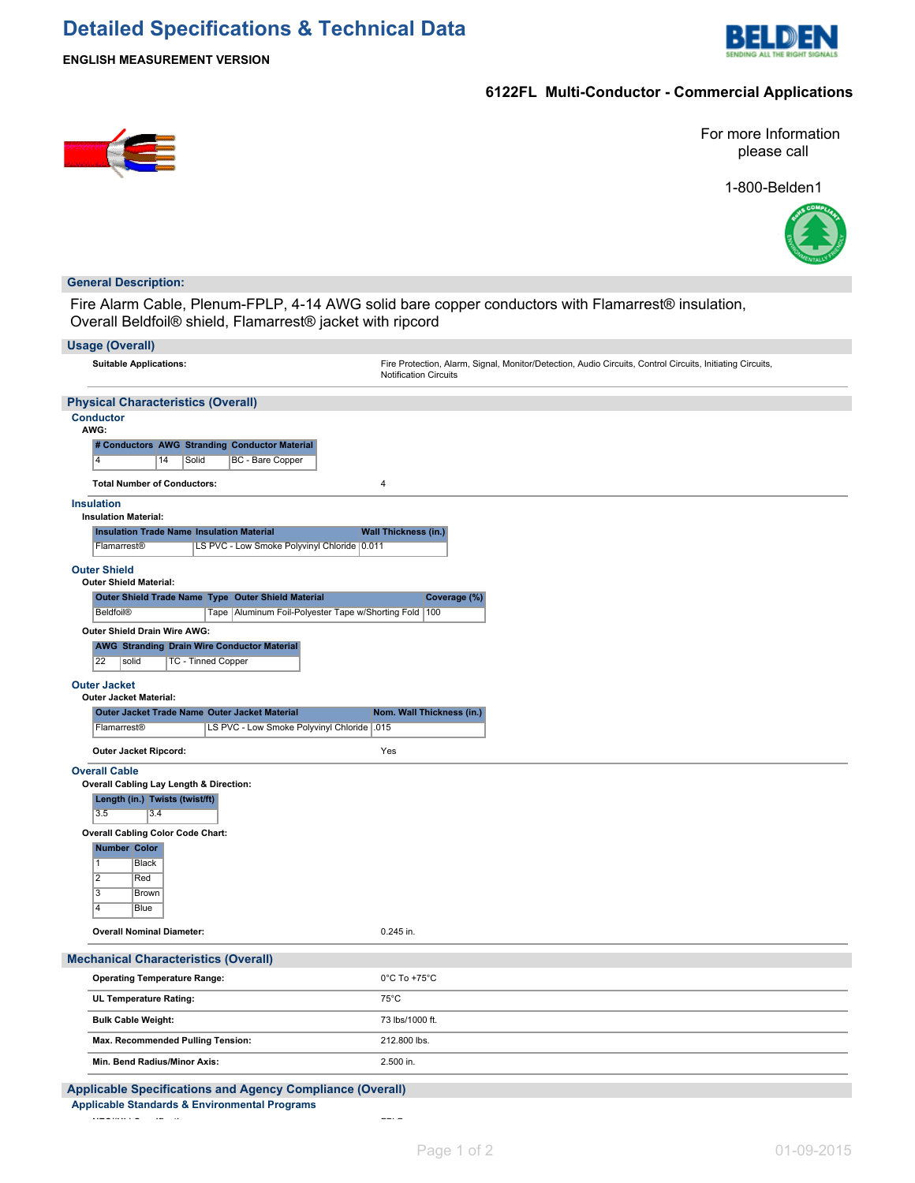# **Detailed Specifications & Technical Data**



**ENGLISH MEASUREMENT VERSION**

### **6122FL Multi-Conductor - Commercial Applications**



For more Information please call

1-800-Belden1



#### **General Description:**

Fire Alarm Cable, Plenum-FPLP, 4-14 AWG solid bare copper conductors with Flamarrest® insulation, Overall Beldfoil® shield, Flamarrest® jacket with ripcord

| <b>Usage (Overall)</b>                                                              |                                                                                                                                           |
|-------------------------------------------------------------------------------------|-------------------------------------------------------------------------------------------------------------------------------------------|
|                                                                                     |                                                                                                                                           |
| <b>Suitable Applications:</b>                                                       | Fire Protection, Alarm, Signal, Monitor/Detection, Audio Circuits, Control Circuits, Initiating Circuits,<br><b>Notification Circuits</b> |
| <b>Physical Characteristics (Overall)</b>                                           |                                                                                                                                           |
| <b>Conductor</b>                                                                    |                                                                                                                                           |
| AWG:<br># Conductors AWG Stranding Conductor Material                               |                                                                                                                                           |
| $\overline{4}$<br>Solid<br>BC - Bare Copper<br>14                                   |                                                                                                                                           |
| <b>Total Number of Conductors:</b>                                                  | $\pmb{4}$                                                                                                                                 |
|                                                                                     |                                                                                                                                           |
| <b>Insulation</b><br><b>Insulation Material:</b>                                    |                                                                                                                                           |
| <b>Insulation Trade Name Insulation Material</b>                                    | <b>Wall Thickness (in.)</b>                                                                                                               |
| LS PVC - Low Smoke Polyvinyl Chloride 0.011<br>Flamarrest®                          |                                                                                                                                           |
| <b>Outer Shield</b>                                                                 |                                                                                                                                           |
| <b>Outer Shield Material:</b><br>Outer Shield Trade Name Type Outer Shield Material | Coverage (%)                                                                                                                              |
| Beldfoil®<br>Tape   Aluminum Foil-Polyester Tape w/Shorting Fold   100              |                                                                                                                                           |
| Outer Shield Drain Wire AWG:                                                        |                                                                                                                                           |
| <b>AWG Stranding Drain Wire Conductor Material</b>                                  |                                                                                                                                           |
| 22<br>TC - Tinned Copper<br>solid                                                   |                                                                                                                                           |
| <b>Outer Jacket</b><br><b>Outer Jacket Material:</b>                                |                                                                                                                                           |
| Outer Jacket Trade Name Outer Jacket Material                                       | Nom. Wall Thickness (in.)                                                                                                                 |
| Flamarrest®<br>LS PVC - Low Smoke Polyvinyl Chloride                                | .015                                                                                                                                      |
| Outer Jacket Ripcord:                                                               | Yes                                                                                                                                       |
| <b>Overall Cable</b>                                                                |                                                                                                                                           |
| Overall Cabling Lay Length & Direction:<br>Length (in.) Twists (twist/ft)           |                                                                                                                                           |
| 3.5<br>3.4                                                                          |                                                                                                                                           |
| <b>Overall Cabling Color Code Chart:</b>                                            |                                                                                                                                           |
| <b>Number Color</b>                                                                 |                                                                                                                                           |
| 1<br>Black<br>$\overline{2}$<br>Red                                                 |                                                                                                                                           |
| $\overline{3}$<br><b>Brown</b>                                                      |                                                                                                                                           |
| $\overline{4}$<br><b>Blue</b>                                                       |                                                                                                                                           |
| <b>Overall Nominal Diameter:</b>                                                    | 0.245 in.                                                                                                                                 |
| <b>Mechanical Characteristics (Overall)</b>                                         |                                                                                                                                           |
| <b>Operating Temperature Range:</b>                                                 | $0^{\circ}$ C To +75 $^{\circ}$ C                                                                                                         |
| UL Temperature Rating:                                                              | $75^{\circ}$ C                                                                                                                            |
| <b>Bulk Cable Weight:</b>                                                           | 73 lbs/1000 ft.                                                                                                                           |
| Max. Recommended Pulling Tension:                                                   | 212.800 lbs.                                                                                                                              |
| Min. Bend Radius/Minor Axis:                                                        | 2.500 in.                                                                                                                                 |
| <b>Applicable Specifications and Agency Compliance (Overall)</b>                    |                                                                                                                                           |
| <b>Applicable Standards &amp; Environmental Programs</b>                            |                                                                                                                                           |

**NEC/(UL) Specification:** FPLP